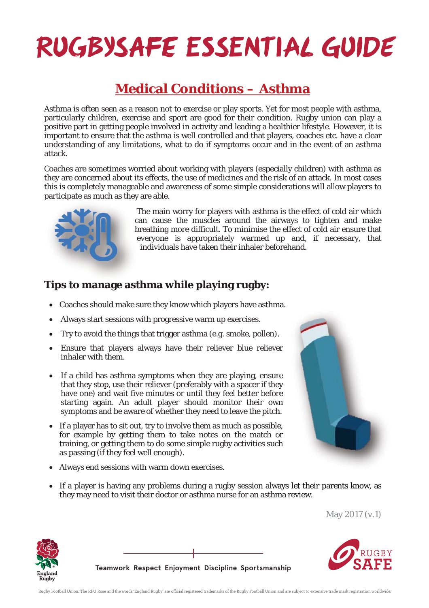### **RUGBYSAFE ESSENTIAL GUIDE**

### **Medical Conditions – Asthma**

Asthma is often seen as a reason not to exercise or play sports. Yet for most people with asthma, particularly children, exercise and sport are good for their condition. Rugby union can play a positive part in getting people involved in activity and leading a healthier lifestyle. However, it is important to ensure that the asthma is well controlled and that players, coaches etc. have a clear understanding of any limitations, what to do if symptoms occur and in the event of an asthma attack.

Coaches are sometimes worried about working with players (especially children) with asthma as they are concerned about its effects, the use of medicines and the risk of an attack. In most cases this is completely manageable and awareness of some simple considerations will allow players to participate as much as they are able.



The main worry for players with asthma is the effect of cold air which can cause the muscles around the airways to tighten and make breathing more difficult. To minimise the effect of cold air ensure that everyone is appropriately warmed up and, if necessary, that individuals have taken their inhaler beforehand.

#### **Tips to manage asthma while playing rugby:**

- Coaches should make sure they know which players have asthma.
- Always start sessions with progressive warm up exercises.
- Try to avoid the things that trigger asthma (e.g. smoke, pollen).
- Ensure that players always have their reliever blue reliever inhaler with them.
- If a child has asthma symptoms when they are playing, ensure that they stop, use their reliever (preferably with a spacer if they have one) and wait five minutes or until they feel better before starting again. An adult player should monitor their own symptoms and be aware of whether they need to leave the pitch.
- If a player has to sit out, try to involve them as much as possible, for example by getting them to take notes on the match or training, or getting them to do some simple rugby activities such as passing (if they feel well enough).
- Always end sessions with warm down exercises.
- If a player is having any problems during a rugby session always let their parents know, as they may need to visit their doctor or asthma nurse for an asthma review. ma.<br>u).<br>verwere wn<br>ways let their parents know, a<br>ways let their parents know, a

May 2017 (v.1)



**Teamwork Respect Enjoyment Discipline Sportsmanship**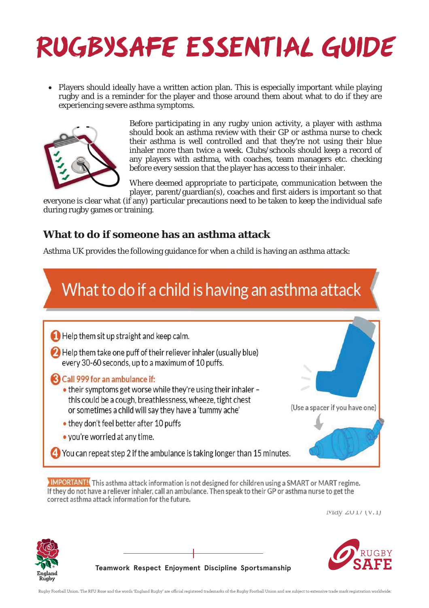## **RUGBYSAFE ESSENTIAL GUIDE**

Players should ideally have a written action plan. This is especially important while playing rugby and is a reminder for the player and those around them about what to do if they are experiencing severe asthma symptoms.



Before participating in any rugby union activity, a player with asthma should book an asthma review with their GP or asthma nurse to check their asthma is well controlled and that they're not using their blue inhaler more than twice a week. Clubs/schools should keep a record of any players with asthma, with coaches, team managers etc. checking before every session that the player has access to their inhaler.

Where deemed appropriate to participate, communication between the player, parent/guardian(s), coaches and first aiders is important so that

everyone is clear what (if any) particular precautions need to be taken to keep the individual safe during rugby games or training.

#### **What to do if someone has an asthma attack**

Asthma UK provides the following guidance for when a child is having an asthma attack:



**IMPORTANT!** This asthma attack information is not designed for children using a SMART or MART regime. If they do not have a reliever inhaler, call an ambulance. Then speak to their GP or asthma nurse to get the correct asthma attack information for the future.

May 2017 (v.1)





**Teamwork Respect Enjoyment Discipline Sportsmanship**